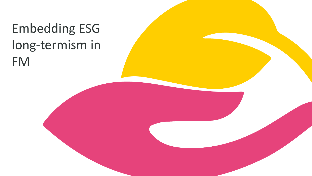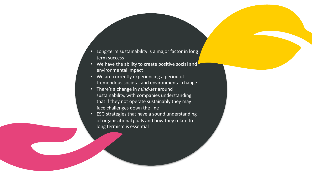- Long-term sustainability is a major factor in long term success
- We have the ability to create positive social and environmental impact
- We are currently experiencing a period of tremendous societal and environmental change
- There's a change in *mind-set* around sustainability, with companies understanding that if they not operate sustainably they may face challenges down the line
- ESG strategies that have a sound understanding of organisational goals and how they relate to long termism is essential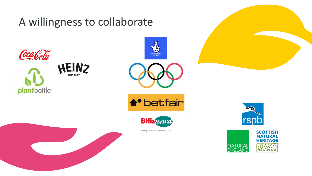## A willingness to collaborate

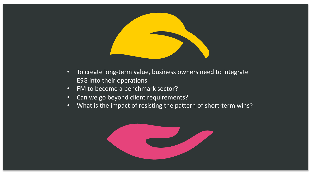

- To create long-term value, business owners need to integrate ESG into their operations
- FM to become a benchmark sector?
- Can we go beyond client requirements?
- What is the impact of resisting the pattern of short-term wins?

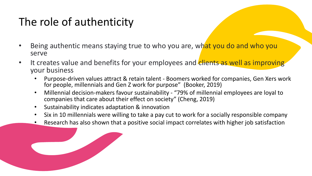## The role of authenticity

- Being authentic means staying true to who you are, what you do and who you serve
- It creates value and benefits for your employees and clients as well as improving your business
	- Purpose-driven values attract & retain talent Boomers worked for companies, Gen Xers work for people, millennials and Gen Z work for purpose" (Booker, 2019)
	- Millennial decision-makers favour sustainability "79% of millennial employees are loyal to companies that care about their effect on society" (Cheng, 2019)
	- Sustainability indicates adaptation & innovation
	- Six in 10 millennials were willing to take a pay cut to work for a socially responsible company
	- Research has also shown that a positive social impact correlates with higher job satisfaction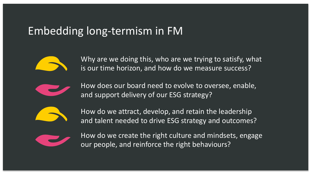## Embedding long-termism in FM



Why are we doing this, who are we trying to satisfy, what is our time horizon, and how do we measure success?



How does our board need to evolve to oversee, enable, and support delivery of our ESG strategy?



How do we attract, develop, and retain the leadership and talent needed to drive ESG strategy and outcomes?



How do we create the right culture and mindsets, engage our people, and reinforce the right behaviours?